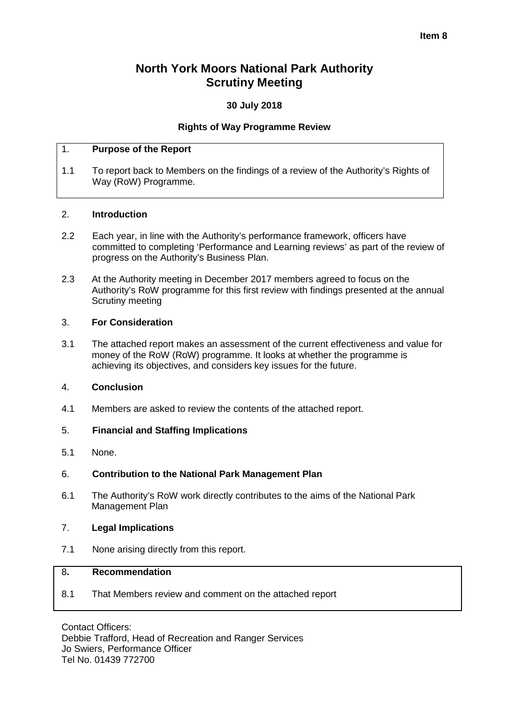#### **Item 8**

# **North York Moors National Park Authority Scrutiny Meeting**

### **30 July 2018**

### **Rights of Way Programme Review**

### 1. **Purpose of the Report**

1.1 To report back to Members on the findings of a review of the Authority's Rights of Way (RoW) Programme.

#### 2. **Introduction**

- 2.2 Each year, in line with the Authority's performance framework, officers have committed to completing 'Performance and Learning reviews' as part of the review of progress on the Authority's Business Plan.
- 2.3 At the Authority meeting in December 2017 members agreed to focus on the Authority's RoW programme for this first review with findings presented at the annual Scrutiny meeting

#### 3. **For Consideration**

3.1 The attached report makes an assessment of the current effectiveness and value for money of the RoW (RoW) programme. It looks at whether the programme is achieving its objectives, and considers key issues for the future.

#### 4. **Conclusion**

4.1 Members are asked to review the contents of the attached report.

#### 5. **Financial and Staffing Implications**

5.1 None.

#### 6. **Contribution to the National Park Management Plan**

6.1 The Authority's RoW work directly contributes to the aims of the National Park Management Plan

#### 7. **Legal Implications**

7.1 None arising directly from this report.

#### 8**. Recommendation**

8.1 That Members review and comment on the attached report

Contact Officers: Debbie Trafford, Head of Recreation and Ranger Services Jo Swiers, Performance Officer Tel No. 01439 772700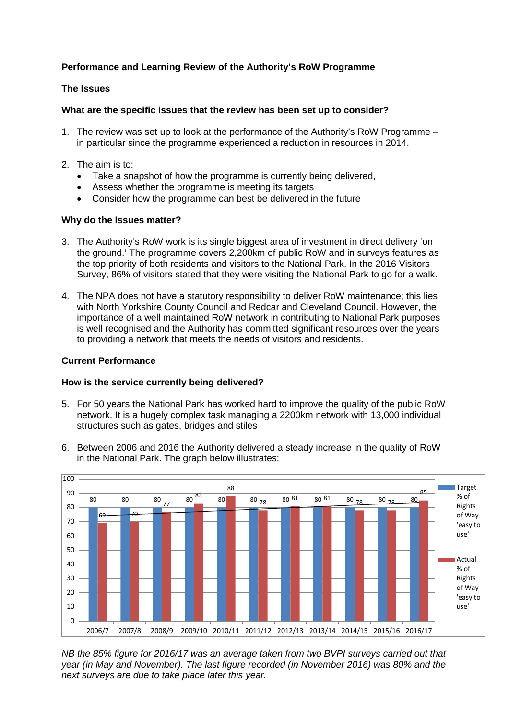# **Performance and Learning Review of the Authority's RoW Programme**

#### **The Issues**

### **What are the specific issues that the review has been set up to consider?**

- 1. The review was set up to look at the performance of the Authority's RoW Programme in particular since the programme experienced a reduction in resources in 2014.
- 2. The aim is to:
	- Take a snapshot of how the programme is currently being delivered,
	- Assess whether the programme is meeting its targets
	- Consider how the programme can best be delivered in the future

### **Why do the Issues matter?**

- 3. The Authority's RoW work is its single biggest area of investment in direct delivery 'on the ground.' The programme covers 2,200km of public RoW and in surveys features as the top priority of both residents and visitors to the National Park. In the 2016 Visitors Survey, 86% of visitors stated that they were visiting the National Park to go for a walk.
- 4. The NPA does not have a statutory responsibility to deliver RoW maintenance; this lies with North Yorkshire County Council and Redcar and Cleveland Council. However, the importance of a well maintained RoW network in contributing to National Park purposes is well recognised and the Authority has committed significant resources over the years to providing a network that meets the needs of visitors and residents.

### **Current Performance**

#### **How is the service currently being delivered?**

- 5. For 50 years the National Park has worked hard to improve the quality of the public RoW network. It is a hugely complex task managing a 2200km network with 13,000 individual structures such as gates, bridges and stiles
- 6. Between 2006 and 2016 the Authority delivered a steady increase in the quality of RoW in the National Park. The graph below illustrates:



*NB the 85% figure for 2016/17 was an average taken from two BVPI surveys carried out that year (in May and November). The last figure recorded (in November 2016) was 80% and the next surveys are due to take place later this year.*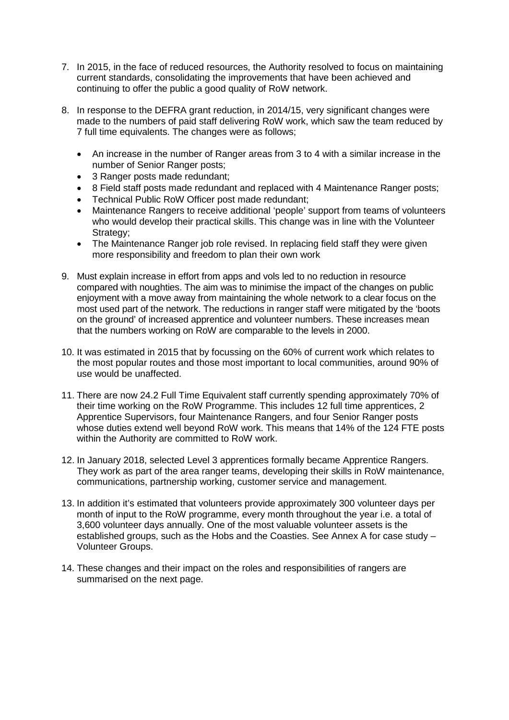- 7. In 2015, in the face of reduced resources, the Authority resolved to focus on maintaining current standards, consolidating the improvements that have been achieved and continuing to offer the public a good quality of RoW network.
- 8. In response to the DEFRA grant reduction, in 2014/15, very significant changes were made to the numbers of paid staff delivering RoW work, which saw the team reduced by 7 full time equivalents. The changes were as follows;
	- An increase in the number of Ranger areas from 3 to 4 with a similar increase in the number of Senior Ranger posts;
	- 3 Ranger posts made redundant:
	- 8 Field staff posts made redundant and replaced with 4 Maintenance Ranger posts;
	- Technical Public RoW Officer post made redundant;
	- Maintenance Rangers to receive additional 'people' support from teams of volunteers who would develop their practical skills. This change was in line with the Volunteer Strategy:
	- The Maintenance Ranger job role revised. In replacing field staff they were given more responsibility and freedom to plan their own work
- 9. Must explain increase in effort from apps and vols led to no reduction in resource compared with noughties. The aim was to minimise the impact of the changes on public enjoyment with a move away from maintaining the whole network to a clear focus on the most used part of the network. The reductions in ranger staff were mitigated by the 'boots on the ground' of increased apprentice and volunteer numbers. These increases mean that the numbers working on RoW are comparable to the levels in 2000.
- 10. It was estimated in 2015 that by focussing on the 60% of current work which relates to the most popular routes and those most important to local communities, around 90% of use would be unaffected.
- 11. There are now 24.2 Full Time Equivalent staff currently spending approximately 70% of their time working on the RoW Programme. This includes 12 full time apprentices, 2 Apprentice Supervisors, four Maintenance Rangers, and four Senior Ranger posts whose duties extend well beyond RoW work. This means that 14% of the 124 FTE posts within the Authority are committed to RoW work.
- 12. In January 2018, selected Level 3 apprentices formally became Apprentice Rangers. They work as part of the area ranger teams, developing their skills in RoW maintenance, communications, partnership working, customer service and management.
- 13. In addition it's estimated that volunteers provide approximately 300 volunteer days per month of input to the RoW programme, every month throughout the year i.e. a total of 3,600 volunteer days annually. One of the most valuable volunteer assets is the established groups, such as the Hobs and the Coasties. See Annex A for case study – Volunteer Groups.
- 14. These changes and their impact on the roles and responsibilities of rangers are summarised on the next page.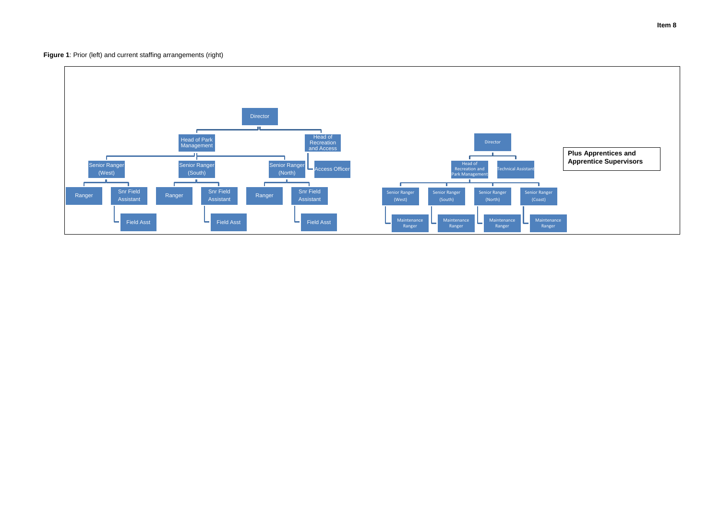**Figure 1**: Prior (left) and current staffing arrangements (right)

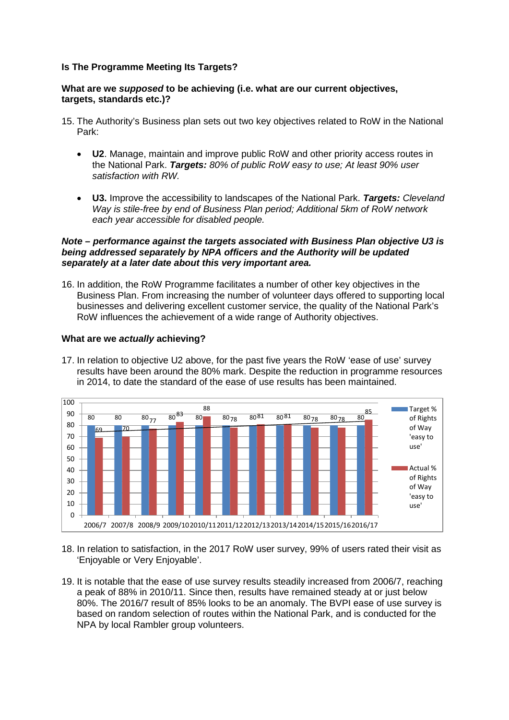#### **Is The Programme Meeting Its Targets?**

#### **What are we** *supposed* **to be achieving (i.e. what are our current objectives, targets, standards etc.)?**

- 15. The Authority's Business plan sets out two key objectives related to RoW in the National Park:
	- **U2**. Manage, maintain and improve public RoW and other priority access routes in the National Park. *Targets: 80% of public RoW easy to use; At least 90% user satisfaction with RW.*
	- **U3.** Improve the accessibility to landscapes of the National Park. *Targets: Cleveland Way is stile-free by end of Business Plan period; Additional 5km of RoW network each year accessible for disabled people.*

#### *Note – performance against the targets associated with Business Plan objective U3 is being addressed separately by NPA officers and the Authority will be updated separately at a later date about this very important area.*

16. In addition, the RoW Programme facilitates a number of other key objectives in the Business Plan. From increasing the number of volunteer days offered to supporting local businesses and delivering excellent customer service, the quality of the National Park's RoW influences the achievement of a wide range of Authority objectives.

#### **What are we** *actually* **achieving?**

17. In relation to objective U2 above, for the past five years the RoW 'ease of use' survey results have been around the 80% mark. Despite the reduction in programme resources in 2014, to date the standard of the ease of use results has been maintained.



- 18. In relation to satisfaction, in the 2017 RoW user survey, 99% of users rated their visit as 'Enjoyable or Very Enjoyable'.
- 19. It is notable that the ease of use survey results steadily increased from 2006/7, reaching a peak of 88% in 2010/11. Since then, results have remained steady at or just below 80%. The 2016/7 result of 85% looks to be an anomaly. The BVPI ease of use survey is based on random selection of routes within the National Park, and is conducted for the NPA by local Rambler group volunteers.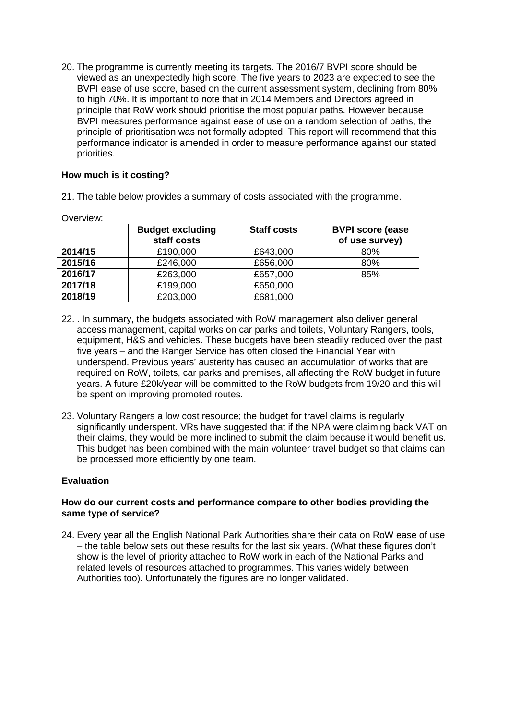20. The programme is currently meeting its targets. The 2016/7 BVPI score should be viewed as an unexpectedly high score. The five years to 2023 are expected to see the BVPI ease of use score, based on the current assessment system, declining from 80% to high 70%. It is important to note that in 2014 Members and Directors agreed in principle that RoW work should prioritise the most popular paths. However because BVPI measures performance against ease of use on a random selection of paths, the principle of prioritisation was not formally adopted. This report will recommend that this performance indicator is amended in order to measure performance against our stated priorities.

## **How much is it costing?**

21. The table below provides a summary of costs associated with the programme.

|         | <b>Budget excluding</b><br>staff costs | <b>Staff costs</b> | <b>BVPI score (ease)</b><br>of use survey) |
|---------|----------------------------------------|--------------------|--------------------------------------------|
| 2014/15 | £190,000                               | £643,000           | 80%                                        |
| 2015/16 | £246,000                               | £656,000           | 80%                                        |
| 2016/17 | £263,000                               | £657,000           | 85%                                        |
| 2017/18 | £199,000                               | £650,000           |                                            |
| 2018/19 | £203,000                               | £681,000           |                                            |

Overview:

- 22. . In summary, the budgets associated with RoW management also deliver general access management, capital works on car parks and toilets, Voluntary Rangers, tools, equipment, H&S and vehicles. These budgets have been steadily reduced over the past five years – and the Ranger Service has often closed the Financial Year with underspend. Previous years' austerity has caused an accumulation of works that are required on RoW, toilets, car parks and premises, all affecting the RoW budget in future years. A future £20k/year will be committed to the RoW budgets from 19/20 and this will be spent on improving promoted routes.
- 23. Voluntary Rangers a low cost resource; the budget for travel claims is regularly significantly underspent. VRs have suggested that if the NPA were claiming back VAT on their claims, they would be more inclined to submit the claim because it would benefit us. This budget has been combined with the main volunteer travel budget so that claims can be processed more efficiently by one team.

#### **Evaluation**

#### **How do our current costs and performance compare to other bodies providing the same type of service?**

24. Every year all the English National Park Authorities share their data on RoW ease of use – the table below sets out these results for the last six years. (What these figures don't show is the level of priority attached to RoW work in each of the National Parks and related levels of resources attached to programmes. This varies widely between Authorities too). Unfortunately the figures are no longer validated.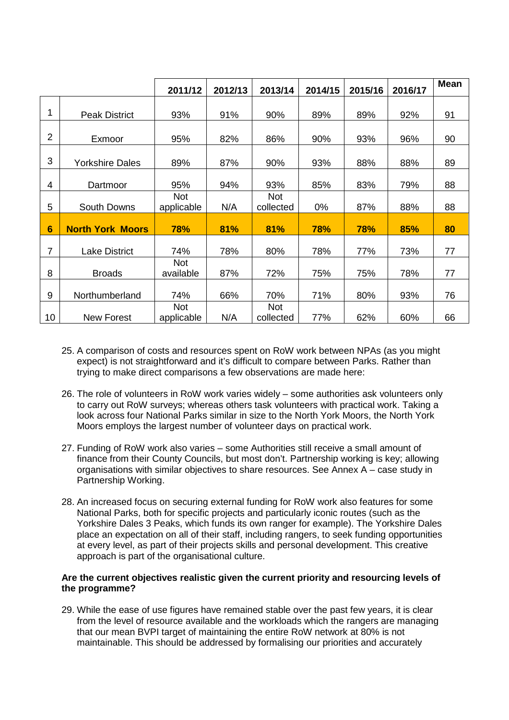|                 |                         | 2011/12                  | 2012/13 | 2013/14                 | 2014/15 | 2015/16 | 2016/17 | <b>Mean</b> |
|-----------------|-------------------------|--------------------------|---------|-------------------------|---------|---------|---------|-------------|
| 1               | <b>Peak District</b>    | 93%                      | 91%     | 90%                     | 89%     | 89%     | 92%     | 91          |
|                 |                         |                          |         |                         |         |         |         |             |
| $\overline{2}$  | Exmoor                  | 95%                      | 82%     | 86%                     | 90%     | 93%     | 96%     | 90          |
| 3               | <b>Yorkshire Dales</b>  | 89%                      | 87%     | 90%                     | 93%     | 88%     | 88%     | 89          |
| 4               | Dartmoor                | 95%                      | 94%     | 93%                     | 85%     | 83%     | 79%     | 88          |
| 5               | South Downs             | <b>Not</b><br>applicable | N/A     | <b>Not</b><br>collected | 0%      | 87%     | 88%     | 88          |
| $6\phantom{1}6$ | <b>North York Moors</b> | 78%                      | 81%     | 81%                     | 78%     | 78%     | 85%     | 80          |
| $\overline{7}$  | <b>Lake District</b>    | 74%                      | 78%     | 80%                     | 78%     | 77%     | 73%     | 77          |
| 8               | <b>Broads</b>           | <b>Not</b><br>available  | 87%     | 72%                     | 75%     | 75%     | 78%     | 77          |
| 9               | Northumberland          | 74%                      | 66%     | 70%                     | 71%     | 80%     | 93%     | 76          |
| 10              | <b>New Forest</b>       | <b>Not</b><br>applicable | N/A     | <b>Not</b><br>collected | 77%     | 62%     | 60%     | 66          |

- 25. A comparison of costs and resources spent on RoW work between NPAs (as you might expect) is not straightforward and it's difficult to compare between Parks. Rather than trying to make direct comparisons a few observations are made here:
- 26. The role of volunteers in RoW work varies widely some authorities ask volunteers only to carry out RoW surveys; whereas others task volunteers with practical work. Taking a look across four National Parks similar in size to the North York Moors, the North York Moors employs the largest number of volunteer days on practical work.
- 27. Funding of RoW work also varies some Authorities still receive a small amount of finance from their County Councils, but most don't. Partnership working is key; allowing organisations with similar objectives to share resources. See Annex A – case study in Partnership Working.
- 28. An increased focus on securing external funding for RoW work also features for some National Parks, both for specific projects and particularly iconic routes (such as the Yorkshire Dales 3 Peaks, which funds its own ranger for example). The Yorkshire Dales place an expectation on all of their staff, including rangers, to seek funding opportunities at every level, as part of their projects skills and personal development. This creative approach is part of the organisational culture.

#### **Are the current objectives realistic given the current priority and resourcing levels of the programme?**

29. While the ease of use figures have remained stable over the past few years, it is clear from the level of resource available and the workloads which the rangers are managing that our mean BVPI target of maintaining the entire RoW network at 80% is not maintainable. This should be addressed by formalising our priorities and accurately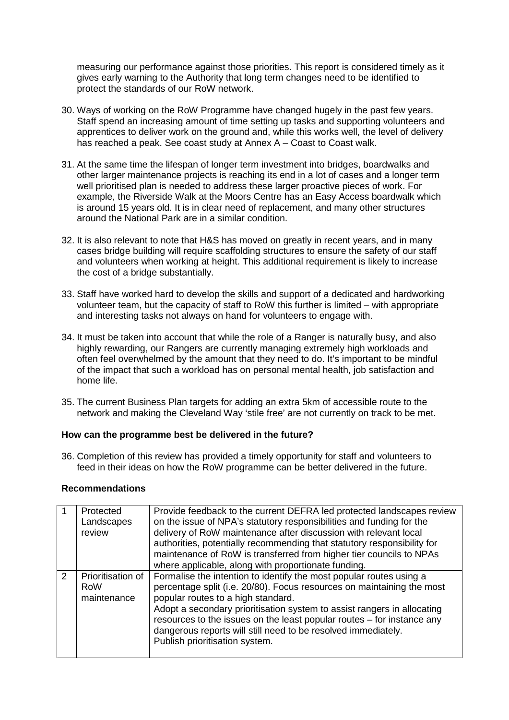measuring our performance against those priorities. This report is considered timely as it gives early warning to the Authority that long term changes need to be identified to protect the standards of our RoW network.

- 30. Ways of working on the RoW Programme have changed hugely in the past few years. Staff spend an increasing amount of time setting up tasks and supporting volunteers and apprentices to deliver work on the ground and, while this works well, the level of delivery has reached a peak. See coast study at Annex A – Coast to Coast walk.
- 31. At the same time the lifespan of longer term investment into bridges, boardwalks and other larger maintenance projects is reaching its end in a lot of cases and a longer term well prioritised plan is needed to address these larger proactive pieces of work. For example, the Riverside Walk at the Moors Centre has an Easy Access boardwalk which is around 15 years old. It is in clear need of replacement, and many other structures around the National Park are in a similar condition.
- 32. It is also relevant to note that H&S has moved on greatly in recent years, and in many cases bridge building will require scaffolding structures to ensure the safety of our staff and volunteers when working at height. This additional requirement is likely to increase the cost of a bridge substantially.
- 33. Staff have worked hard to develop the skills and support of a dedicated and hardworking volunteer team, but the capacity of staff to RoW this further is limited – with appropriate and interesting tasks not always on hand for volunteers to engage with.
- 34. It must be taken into account that while the role of a Ranger is naturally busy, and also highly rewarding, our Rangers are currently managing extremely high workloads and often feel overwhelmed by the amount that they need to do. It's important to be mindful of the impact that such a workload has on personal mental health, job satisfaction and home life.
- 35. The current Business Plan targets for adding an extra 5km of accessible route to the network and making the Cleveland Way 'stile free' are not currently on track to be met.

#### **How can the programme best be delivered in the future?**

36. Completion of this review has provided a timely opportunity for staff and volunteers to feed in their ideas on how the RoW programme can be better delivered in the future.

#### **Recommendations**

|               | Protected<br>Landscapes<br>review              | Provide feedback to the current DEFRA led protected landscapes review<br>on the issue of NPA's statutory responsibilities and funding for the<br>delivery of RoW maintenance after discussion with relevant local<br>authorities, potentially recommending that statutory responsibility for<br>maintenance of RoW is transferred from higher tier councils to NPAs<br>where applicable, along with proportionate funding.                  |
|---------------|------------------------------------------------|---------------------------------------------------------------------------------------------------------------------------------------------------------------------------------------------------------------------------------------------------------------------------------------------------------------------------------------------------------------------------------------------------------------------------------------------|
| $\mathcal{P}$ | Prioritisation of<br><b>RoW</b><br>maintenance | Formalise the intention to identify the most popular routes using a<br>percentage split (i.e. 20/80). Focus resources on maintaining the most<br>popular routes to a high standard.<br>Adopt a secondary prioritisation system to assist rangers in allocating<br>resources to the issues on the least popular routes - for instance any<br>dangerous reports will still need to be resolved immediately.<br>Publish prioritisation system. |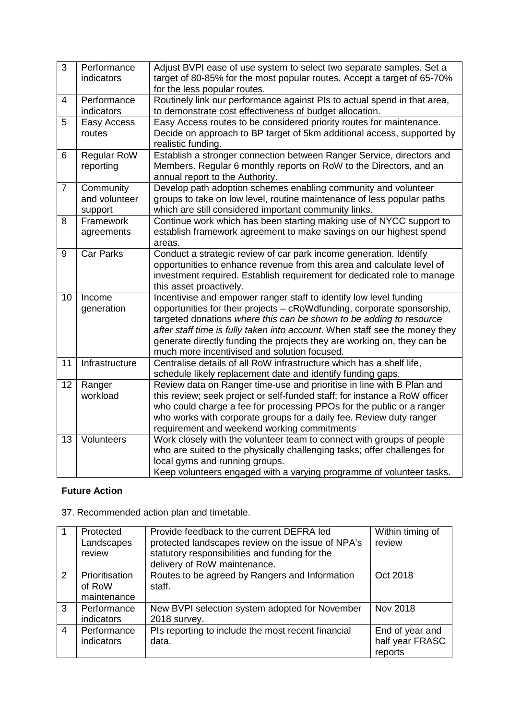| 3              | Performance<br>indicators       | Adjust BVPI ease of use system to select two separate samples. Set a<br>target of 80-85% for the most popular routes. Accept a target of 65-70%<br>for the less popular routes. |
|----------------|---------------------------------|---------------------------------------------------------------------------------------------------------------------------------------------------------------------------------|
| 4              | Performance                     | Routinely link our performance against PIs to actual spend in that area,                                                                                                        |
|                | indicators                      | to demonstrate cost effectiveness of budget allocation.                                                                                                                         |
| 5              | Easy Access                     | Easy Access routes to be considered priority routes for maintenance.                                                                                                            |
|                | routes                          | Decide on approach to BP target of 5km additional access, supported by<br>realistic funding.                                                                                    |
| 6              | <b>Regular RoW</b><br>reporting | Establish a stronger connection between Ranger Service, directors and<br>Members. Regular 6 monthly reports on RoW to the Directors, and an                                     |
|                |                                 | annual report to the Authority.                                                                                                                                                 |
| $\overline{7}$ | Community                       | Develop path adoption schemes enabling community and volunteer                                                                                                                  |
|                | and volunteer                   | groups to take on low level, routine maintenance of less popular paths                                                                                                          |
|                | support                         | which are still considered important community links.                                                                                                                           |
| 8              | Framework                       | Continue work which has been starting making use of NYCC support to                                                                                                             |
|                | agreements                      | establish framework agreement to make savings on our highest spend                                                                                                              |
|                |                                 | areas.                                                                                                                                                                          |
| $9\,$          | <b>Car Parks</b>                | Conduct a strategic review of car park income generation. Identify<br>opportunities to enhance revenue from this area and calculate level of                                    |
|                |                                 | investment required. Establish requirement for dedicated role to manage                                                                                                         |
|                |                                 | this asset proactively.                                                                                                                                                         |
| 10             | Income                          | Incentivise and empower ranger staff to identify low level funding                                                                                                              |
|                | generation                      | opportunities for their projects - cRoWdfunding, corporate sponsorship,                                                                                                         |
|                |                                 | targeted donations where this can be shown to be adding to resource                                                                                                             |
|                |                                 | after staff time is fully taken into account. When staff see the money they                                                                                                     |
|                |                                 | generate directly funding the projects they are working on, they can be                                                                                                         |
|                |                                 | much more incentivised and solution focused.                                                                                                                                    |
| 11             | Infrastructure                  | Centralise details of all RoW infrastructure which has a shelf life,<br>schedule likely replacement date and identify funding gaps.                                             |
| 12             | Ranger                          | Review data on Ranger time-use and prioritise in line with B Plan and                                                                                                           |
|                | workload                        | this review; seek project or self-funded staff; for instance a RoW officer                                                                                                      |
|                |                                 | who could charge a fee for processing PPOs for the public or a ranger                                                                                                           |
|                |                                 | who works with corporate groups for a daily fee. Review duty ranger                                                                                                             |
|                |                                 | requirement and weekend working commitments                                                                                                                                     |
| 13             | Volunteers                      | Work closely with the volunteer team to connect with groups of people                                                                                                           |
|                |                                 | who are suited to the physically challenging tasks; offer challenges for<br>local gyms and running groups.                                                                      |
|                |                                 | Keep volunteers engaged with a varying programme of volunteer tasks.                                                                                                            |
|                |                                 |                                                                                                                                                                                 |

# **Future Action**

|   | Protected<br>Landscapes<br>review       | Provide feedback to the current DEFRA led<br>protected landscapes review on the issue of NPA's<br>statutory responsibilities and funding for the<br>delivery of RoW maintenance. | Within timing of<br>review                    |
|---|-----------------------------------------|----------------------------------------------------------------------------------------------------------------------------------------------------------------------------------|-----------------------------------------------|
| 2 | Prioritisation<br>of RoW<br>maintenance | Routes to be agreed by Rangers and Information<br>staff.                                                                                                                         | Oct 2018                                      |
| 3 | Performance<br>indicators               | New BVPI selection system adopted for November<br>2018 survey.                                                                                                                   | Nov 2018                                      |
| 4 | Performance<br>indicators               | PIs reporting to include the most recent financial<br>data.                                                                                                                      | End of year and<br>half year FRASC<br>reports |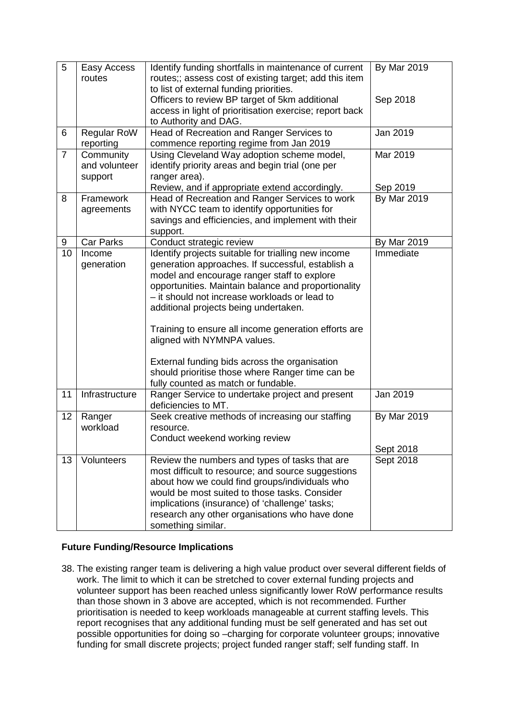| 5              | Easy Access<br>routes | Identify funding shortfalls in maintenance of current<br>routes;; assess cost of existing target; add this item<br>to list of external funding priorities. | <b>By Mar 2019</b>             |
|----------------|-----------------------|------------------------------------------------------------------------------------------------------------------------------------------------------------|--------------------------------|
|                |                       | Officers to review BP target of 5km additional<br>access in light of prioritisation exercise; report back<br>to Authority and DAG.                         | Sep 2018                       |
| 6              | Regular RoW           | Head of Recreation and Ranger Services to                                                                                                                  | Jan 2019                       |
|                | reporting             | commence reporting regime from Jan 2019                                                                                                                    |                                |
| $\overline{7}$ | Community             | Using Cleveland Way adoption scheme model,                                                                                                                 | Mar 2019                       |
|                | and volunteer         | identify priority areas and begin trial (one per                                                                                                           |                                |
|                | support               | ranger area).                                                                                                                                              |                                |
| 8              | Framework             | Review, and if appropriate extend accordingly.<br>Head of Recreation and Ranger Services to work                                                           | Sep 2019<br><b>By Mar 2019</b> |
|                | agreements            | with NYCC team to identify opportunities for                                                                                                               |                                |
|                |                       | savings and efficiencies, and implement with their                                                                                                         |                                |
|                |                       | support.                                                                                                                                                   |                                |
| 9              | <b>Car Parks</b>      | Conduct strategic review                                                                                                                                   | <b>By Mar 2019</b>             |
| 10             | Income                | Identify projects suitable for trialling new income                                                                                                        | Immediate                      |
|                | generation            | generation approaches. If successful, establish a                                                                                                          |                                |
|                |                       | model and encourage ranger staff to explore                                                                                                                |                                |
|                |                       | opportunities. Maintain balance and proportionality<br>- it should not increase workloads or lead to                                                       |                                |
|                |                       | additional projects being undertaken.                                                                                                                      |                                |
|                |                       |                                                                                                                                                            |                                |
|                |                       | Training to ensure all income generation efforts are                                                                                                       |                                |
|                |                       | aligned with NYMNPA values.                                                                                                                                |                                |
|                |                       | External funding bids across the organisation                                                                                                              |                                |
|                |                       | should prioritise those where Ranger time can be                                                                                                           |                                |
|                |                       | fully counted as match or fundable.                                                                                                                        |                                |
| 11             | Infrastructure        | Ranger Service to undertake project and present<br>deficiencies to MT.                                                                                     | Jan 2019                       |
| 12             | Ranger                | Seek creative methods of increasing our staffing                                                                                                           | <b>By Mar 2019</b>             |
|                | workload              | resource.                                                                                                                                                  |                                |
|                |                       | Conduct weekend working review                                                                                                                             |                                |
|                | Volunteers            |                                                                                                                                                            | Sept 2018                      |
| 13             |                       | Review the numbers and types of tasks that are<br>most difficult to resource; and source suggestions                                                       | Sept 2018                      |
|                |                       | about how we could find groups/individuals who                                                                                                             |                                |
|                |                       | would be most suited to those tasks. Consider                                                                                                              |                                |
|                |                       | implications (insurance) of 'challenge' tasks;                                                                                                             |                                |
|                |                       | research any other organisations who have done                                                                                                             |                                |
|                |                       | something similar.                                                                                                                                         |                                |

# **Future Funding/Resource Implications**

38. The existing ranger team is delivering a high value product over several different fields of work. The limit to which it can be stretched to cover external funding projects and volunteer support has been reached unless significantly lower RoW performance results than those shown in 3 above are accepted, which is not recommended. Further prioritisation is needed to keep workloads manageable at current staffing levels. This report recognises that any additional funding must be self generated and has set out possible opportunities for doing so –charging for corporate volunteer groups; innovative funding for small discrete projects; project funded ranger staff; self funding staff. In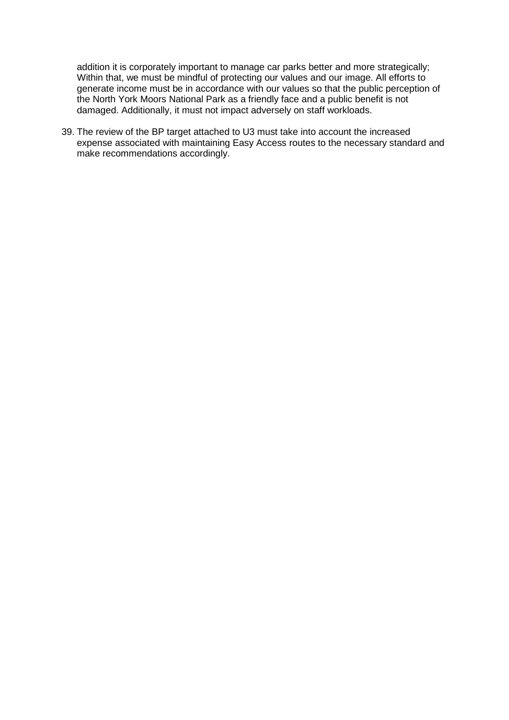addition it is corporately important to manage car parks better and more strategically; Within that, we must be mindful of protecting our values and our image. All efforts to generate income must be in accordance with our values so that the public perception of the North York Moors National Park as a friendly face and a public benefit is not damaged. Additionally, it must not impact adversely on staff workloads.

39. The review of the BP target attached to U3 must take into account the increased expense associated with maintaining Easy Access routes to the necessary standard and make recommendations accordingly.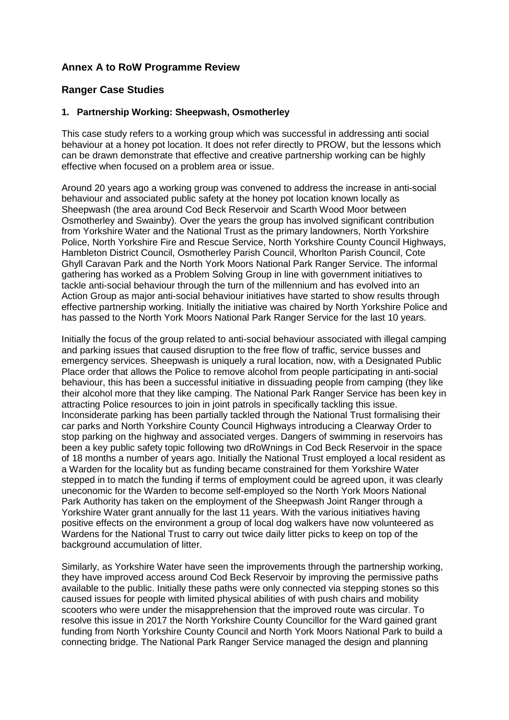# **Annex A to RoW Programme Review**

# **Ranger Case Studies**

#### **1. Partnership Working: Sheepwash, Osmotherley**

This case study refers to a working group which was successful in addressing anti social behaviour at a honey pot location. It does not refer directly to PROW, but the lessons which can be drawn demonstrate that effective and creative partnership working can be highly effective when focused on a problem area or issue.

Around 20 years ago a working group was convened to address the increase in anti-social behaviour and associated public safety at the honey pot location known locally as Sheepwash (the area around Cod Beck Reservoir and Scarth Wood Moor between Osmotherley and Swainby). Over the years the group has involved significant contribution from Yorkshire Water and the National Trust as the primary landowners, North Yorkshire Police, North Yorkshire Fire and Rescue Service, North Yorkshire County Council Highways, Hambleton District Council, Osmotherley Parish Council, Whorlton Parish Council, Cote Ghyll Caravan Park and the North York Moors National Park Ranger Service. The informal gathering has worked as a Problem Solving Group in line with government initiatives to tackle anti-social behaviour through the turn of the millennium and has evolved into an Action Group as major anti-social behaviour initiatives have started to show results through effective partnership working. Initially the initiative was chaired by North Yorkshire Police and has passed to the North York Moors National Park Ranger Service for the last 10 years.

Initially the focus of the group related to anti-social behaviour associated with illegal camping and parking issues that caused disruption to the free flow of traffic, service busses and emergency services. Sheepwash is uniquely a rural location, now, with a Designated Public Place order that allows the Police to remove alcohol from people participating in anti-social behaviour, this has been a successful initiative in dissuading people from camping (they like their alcohol more that they like camping. The National Park Ranger Service has been key in attracting Police resources to join in joint patrols in specifically tackling this issue. Inconsiderate parking has been partially tackled through the National Trust formalising their car parks and North Yorkshire County Council Highways introducing a Clearway Order to stop parking on the highway and associated verges. Dangers of swimming in reservoirs has been a key public safety topic following two dRoWnings in Cod Beck Reservoir in the space of 18 months a number of years ago. Initially the National Trust employed a local resident as a Warden for the locality but as funding became constrained for them Yorkshire Water stepped in to match the funding if terms of employment could be agreed upon, it was clearly uneconomic for the Warden to become self-employed so the North York Moors National Park Authority has taken on the employment of the Sheepwash Joint Ranger through a Yorkshire Water grant annually for the last 11 years. With the various initiatives having positive effects on the environment a group of local dog walkers have now volunteered as Wardens for the National Trust to carry out twice daily litter picks to keep on top of the background accumulation of litter.

Similarly, as Yorkshire Water have seen the improvements through the partnership working, they have improved access around Cod Beck Reservoir by improving the permissive paths available to the public. Initially these paths were only connected via stepping stones so this caused issues for people with limited physical abilities of with push chairs and mobility scooters who were under the misapprehension that the improved route was circular. To resolve this issue in 2017 the North Yorkshire County Councillor for the Ward gained grant funding from North Yorkshire County Council and North York Moors National Park to build a connecting bridge. The National Park Ranger Service managed the design and planning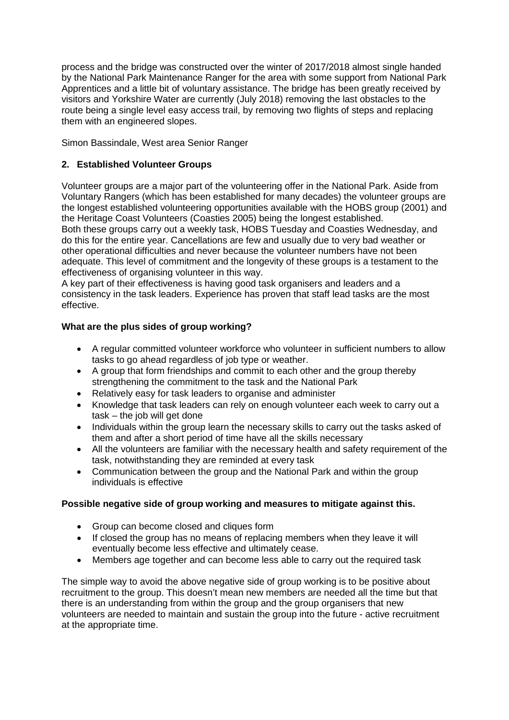process and the bridge was constructed over the winter of 2017/2018 almost single handed by the National Park Maintenance Ranger for the area with some support from National Park Apprentices and a little bit of voluntary assistance. The bridge has been greatly received by visitors and Yorkshire Water are currently (July 2018) removing the last obstacles to the route being a single level easy access trail, by removing two flights of steps and replacing them with an engineered slopes.

Simon Bassindale, West area Senior Ranger

# **2. Established Volunteer Groups**

Volunteer groups are a major part of the volunteering offer in the National Park. Aside from Voluntary Rangers (which has been established for many decades) the volunteer groups are the longest established volunteering opportunities available with the HOBS group (2001) and the Heritage Coast Volunteers (Coasties 2005) being the longest established.

Both these groups carry out a weekly task, HOBS Tuesday and Coasties Wednesday, and do this for the entire year. Cancellations are few and usually due to very bad weather or other operational difficulties and never because the volunteer numbers have not been adequate. This level of commitment and the longevity of these groups is a testament to the effectiveness of organising volunteer in this way.

A key part of their effectiveness is having good task organisers and leaders and a consistency in the task leaders. Experience has proven that staff lead tasks are the most effective.

### **What are the plus sides of group working?**

- A regular committed volunteer workforce who volunteer in sufficient numbers to allow tasks to go ahead regardless of job type or weather.
- A group that form friendships and commit to each other and the group thereby strengthening the commitment to the task and the National Park
- Relatively easy for task leaders to organise and administer
- Knowledge that task leaders can rely on enough volunteer each week to carry out a task – the job will get done
- Individuals within the group learn the necessary skills to carry out the tasks asked of them and after a short period of time have all the skills necessary
- All the volunteers are familiar with the necessary health and safety requirement of the task, notwithstanding they are reminded at every task
- Communication between the group and the National Park and within the group individuals is effective

#### **Possible negative side of group working and measures to mitigate against this.**

- Group can become closed and cliques form
- If closed the group has no means of replacing members when they leave it will eventually become less effective and ultimately cease.
- Members age together and can become less able to carry out the required task

The simple way to avoid the above negative side of group working is to be positive about recruitment to the group. This doesn't mean new members are needed all the time but that there is an understanding from within the group and the group organisers that new volunteers are needed to maintain and sustain the group into the future - active recruitment at the appropriate time.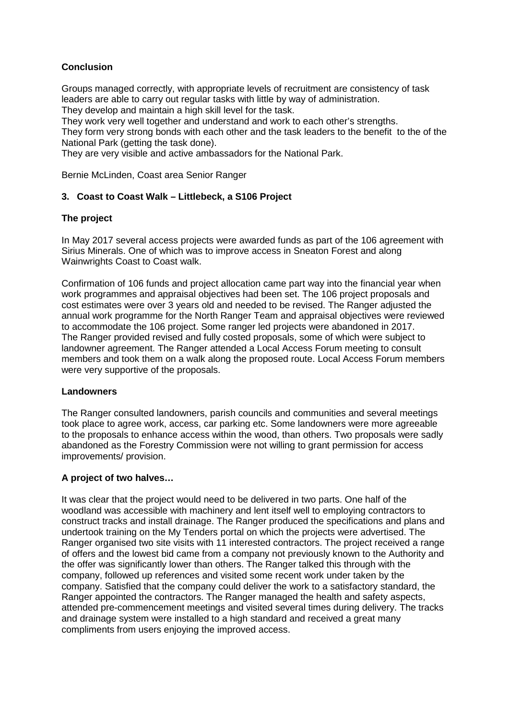# **Conclusion**

Groups managed correctly, with appropriate levels of recruitment are consistency of task leaders are able to carry out regular tasks with little by way of administration. They develop and maintain a high skill level for the task.

They work very well together and understand and work to each other's strengths.

They form very strong bonds with each other and the task leaders to the benefit to the of the National Park (getting the task done).

They are very visible and active ambassadors for the National Park.

Bernie McLinden, Coast area Senior Ranger

#### **3. Coast to Coast Walk – Littlebeck, a S106 Project**

### **The project**

In May 2017 several access projects were awarded funds as part of the 106 agreement with Sirius Minerals. One of which was to improve access in Sneaton Forest and along Wainwrights Coast to Coast walk.

Confirmation of 106 funds and project allocation came part way into the financial year when work programmes and appraisal objectives had been set. The 106 project proposals and cost estimates were over 3 years old and needed to be revised. The Ranger adjusted the annual work programme for the North Ranger Team and appraisal objectives were reviewed to accommodate the 106 project. Some ranger led projects were abandoned in 2017. The Ranger provided revised and fully costed proposals, some of which were subject to landowner agreement. The Ranger attended a Local Access Forum meeting to consult members and took them on a walk along the proposed route. Local Access Forum members were very supportive of the proposals.

#### **Landowners**

The Ranger consulted landowners, parish councils and communities and several meetings took place to agree work, access, car parking etc. Some landowners were more agreeable to the proposals to enhance access within the wood, than others. Two proposals were sadly abandoned as the Forestry Commission were not willing to grant permission for access improvements/ provision.

#### **A project of two halves…**

It was clear that the project would need to be delivered in two parts. One half of the woodland was accessible with machinery and lent itself well to employing contractors to construct tracks and install drainage. The Ranger produced the specifications and plans and undertook training on the My Tenders portal on which the projects were advertised. The Ranger organised two site visits with 11 interested contractors. The project received a range of offers and the lowest bid came from a company not previously known to the Authority and the offer was significantly lower than others. The Ranger talked this through with the company, followed up references and visited some recent work under taken by the company. Satisfied that the company could deliver the work to a satisfactory standard, the Ranger appointed the contractors. The Ranger managed the health and safety aspects, attended pre-commencement meetings and visited several times during delivery. The tracks and drainage system were installed to a high standard and received a great many compliments from users enjoying the improved access.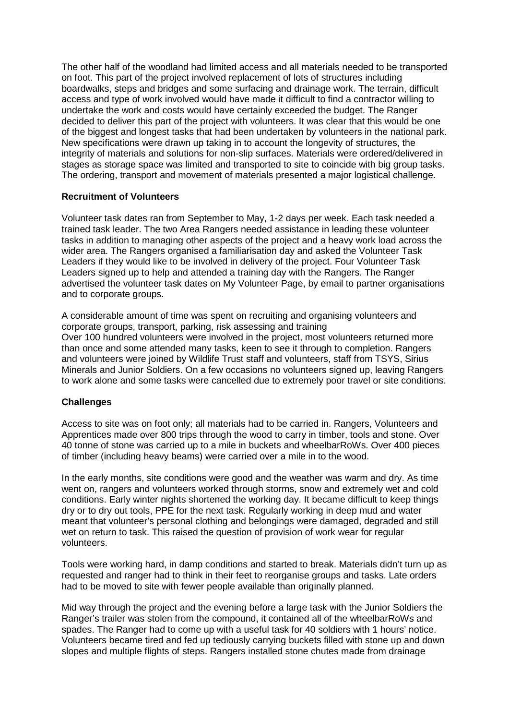The other half of the woodland had limited access and all materials needed to be transported on foot. This part of the project involved replacement of lots of structures including boardwalks, steps and bridges and some surfacing and drainage work. The terrain, difficult access and type of work involved would have made it difficult to find a contractor willing to undertake the work and costs would have certainly exceeded the budget. The Ranger decided to deliver this part of the project with volunteers. It was clear that this would be one of the biggest and longest tasks that had been undertaken by volunteers in the national park. New specifications were drawn up taking in to account the longevity of structures, the integrity of materials and solutions for non-slip surfaces. Materials were ordered/delivered in stages as storage space was limited and transported to site to coincide with big group tasks. The ordering, transport and movement of materials presented a major logistical challenge.

#### **Recruitment of Volunteers**

Volunteer task dates ran from September to May, 1-2 days per week. Each task needed a trained task leader. The two Area Rangers needed assistance in leading these volunteer tasks in addition to managing other aspects of the project and a heavy work load across the wider area. The Rangers organised a familiarisation day and asked the Volunteer Task Leaders if they would like to be involved in delivery of the project. Four Volunteer Task Leaders signed up to help and attended a training day with the Rangers. The Ranger advertised the volunteer task dates on My Volunteer Page, by email to partner organisations and to corporate groups.

A considerable amount of time was spent on recruiting and organising volunteers and corporate groups, transport, parking, risk assessing and training Over 100 hundred volunteers were involved in the project, most volunteers returned more than once and some attended many tasks, keen to see it through to completion. Rangers and volunteers were joined by Wildlife Trust staff and volunteers, staff from TSYS, Sirius Minerals and Junior Soldiers. On a few occasions no volunteers signed up, leaving Rangers to work alone and some tasks were cancelled due to extremely poor travel or site conditions.

#### **Challenges**

Access to site was on foot only; all materials had to be carried in. Rangers, Volunteers and Apprentices made over 800 trips through the wood to carry in timber, tools and stone. Over 40 tonne of stone was carried up to a mile in buckets and wheelbarRoWs. Over 400 pieces of timber (including heavy beams) were carried over a mile in to the wood.

In the early months, site conditions were good and the weather was warm and dry. As time went on, rangers and volunteers worked through storms, snow and extremely wet and cold conditions. Early winter nights shortened the working day. It became difficult to keep things dry or to dry out tools, PPE for the next task. Regularly working in deep mud and water meant that volunteer's personal clothing and belongings were damaged, degraded and still wet on return to task. This raised the question of provision of work wear for regular volunteers.

Tools were working hard, in damp conditions and started to break. Materials didn't turn up as requested and ranger had to think in their feet to reorganise groups and tasks. Late orders had to be moved to site with fewer people available than originally planned.

Mid way through the project and the evening before a large task with the Junior Soldiers the Ranger's trailer was stolen from the compound, it contained all of the wheelbarRoWs and spades. The Ranger had to come up with a useful task for 40 soldiers with 1 hours' notice. Volunteers became tired and fed up tediously carrying buckets filled with stone up and down slopes and multiple flights of steps. Rangers installed stone chutes made from drainage